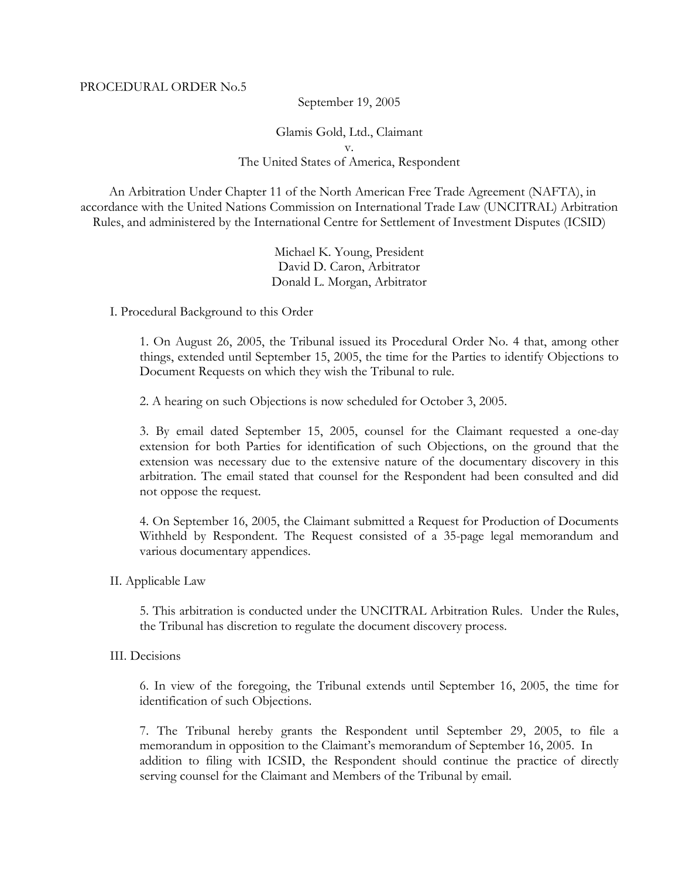September 19, 2005

Glamis Gold, Ltd., Claimant v. The United States of America, Respondent

 An Arbitration Under Chapter 11 of the North American Free Trade Agreement (NAFTA), in accordance with the United Nations Commission on International Trade Law (UNCITRAL) Arbitration Rules, and administered by the International Centre for Settlement of Investment Disputes (ICSID)

> Michael K. Young, President David D. Caron, Arbitrator Donald L. Morgan, Arbitrator

I. Procedural Background to this Order

1. On August 26, 2005, the Tribunal issued its Procedural Order No. 4 that, among other things, extended until September 15, 2005, the time for the Parties to identify Objections to Document Requests on which they wish the Tribunal to rule.

2. A hearing on such Objections is now scheduled for October 3, 2005.

3. By email dated September 15, 2005, counsel for the Claimant requested a one-day extension for both Parties for identification of such Objections, on the ground that the extension was necessary due to the extensive nature of the documentary discovery in this arbitration. The email stated that counsel for the Respondent had been consulted and did not oppose the request.

4. On September 16, 2005, the Claimant submitted a Request for Production of Documents Withheld by Respondent. The Request consisted of a 35-page legal memorandum and various documentary appendices.

II. Applicable Law

5. This arbitration is conducted under the UNCITRAL Arbitration Rules. Under the Rules, the Tribunal has discretion to regulate the document discovery process.

III. Decisions

6. In view of the foregoing, the Tribunal extends until September 16, 2005, the time for identification of such Objections.

7. The Tribunal hereby grants the Respondent until September 29, 2005, to file a memorandum in opposition to the Claimant's memorandum of September 16, 2005. In addition to filing with ICSID, the Respondent should continue the practice of directly serving counsel for the Claimant and Members of the Tribunal by email.